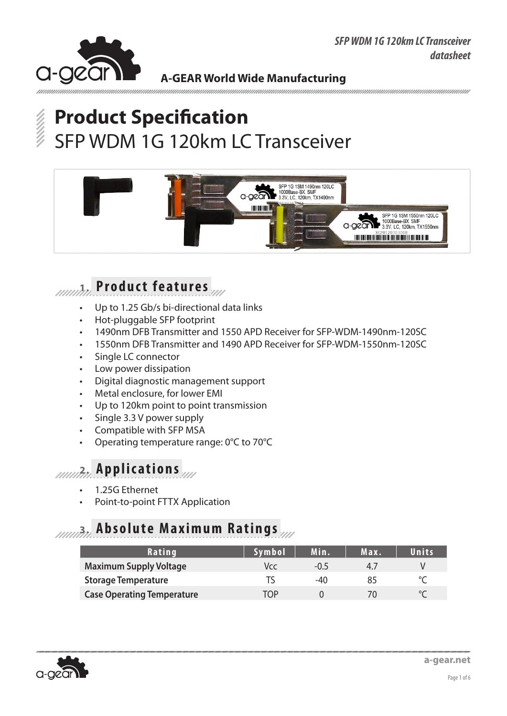

# **Product Specification** SFP WDM 1G 120km LC Transceiver



### **1. P r o d u c t f e a t u r e s**

- Up to 1.25 Gb/s bi-directional data links
- Hot-pluggable SFP footprint
- 1490nm DFB Transmitter and 1550 APD Receiver for SFP-WDM-1490nm-120SC
- • 1550nm DFB Transmitter and 1490 APD Receiver for SFP-WDM-1550nm-120SC
- Single LC connector
- • Low power dissipation
- Digital diagnostic management support
- Metal enclosure, for lower EMI
- Up to 120km point to point transmission
- Single 3.3 V power supply
- Compatible with SFP MSA
- Operating temperature range: 0°C to 70°C

### **2. Applications**

- 1.25G Ethernet
- Point-to-point FTTX Application

### **3. Absolute Maximum Ratings**

| Rating                            | <b>Symbol</b> | Min.   | Max. | Units |
|-----------------------------------|---------------|--------|------|-------|
| <b>Maximum Supply Voltage</b>     | Vcc.          | $-0.5$ | 47   |       |
| <b>Storage Temperature</b>        |               | $-4()$ | 85   |       |
| <b>Case Operating Temperature</b> | TNP           |        |      |       |

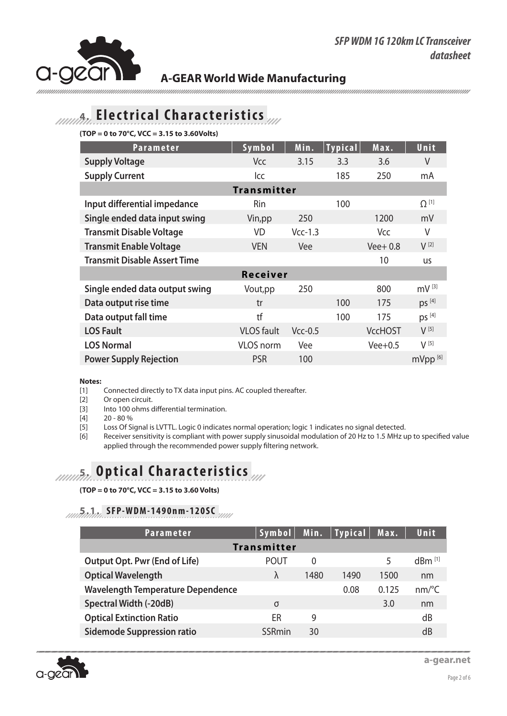

ununununun

## **4. E l e c t r i c a l C h a r a c t e r i s t i c s**

**(TOP = 0 to 70°C, VCC = 3.15 to 3.60Volts)**

| Parameter                           | Symbol             | Min.      | <b>Typical</b> | Max.           | Unit                |
|-------------------------------------|--------------------|-----------|----------------|----------------|---------------------|
| <b>Supply Voltage</b>               | Vcc                | 3.15      | 3.3            | 3.6            | V                   |
| <b>Supply Current</b>               | lcc                |           | 185            | 250            | mA                  |
|                                     | <b>Transmitter</b> |           |                |                |                     |
| Input differential impedance        | Rin                |           | 100            |                | $\Omega^{[1]}$      |
| Single ended data input swing       | Vin, pp            | 250       |                | 1200           | mV                  |
| <b>Transmit Disable Voltage</b>     | <b>VD</b>          | $Vcc-1.3$ |                | Vcc            | V                   |
| <b>Transmit Enable Voltage</b>      | <b>VEN</b>         | Vee       |                | $Vee+0.8$      | $V^{[2]}$           |
| <b>Transmit Disable Assert Time</b> |                    |           |                | 10             | <b>us</b>           |
|                                     | <b>Receiver</b>    |           |                |                |                     |
| Single ended data output swing      | Vout, pp           | 250       |                | 800            | $mV^{[3]}$          |
| Data output rise time               | tr                 |           | 100            | 175            | DS <sup>[4]</sup>   |
| Data output fall time               | tf                 |           | 100            | 175            | ps [4]              |
| <b>LOS Fault</b>                    | <b>VLOS</b> fault  | $Vcc-0.5$ |                | <b>VccHOST</b> | $V^{[5]}$           |
| <b>LOS Normal</b>                   | <b>VLOS</b> norm   | Vee       |                | $Vee+0.5$      | $V^{[5]}$           |
| <b>Power Supply Rejection</b>       | <b>PSR</b>         | 100       |                |                | mVpp <sup>[6]</sup> |

#### **Notes:**

[1] Connected directly to TX data input pins. AC coupled thereafter.

[2] Or open circuit.

[3] Into 100 ohms differential termination.

[4] 20 - 80 %

- [5] Loss Of Signal is LVTTL. Logic 0 indicates normal operation; logic 1 indicates no signal detected.
- [6] Receiver sensitivity is compliant with power supply sinusoidal modulation of 20 Hz to 1.5 MHz up to specified value applied through the recommended power supply filtering network.

## **6. Optical Characteristics**

**(TOP = 0 to 70°C, VCC = 3.15 to 3.60 Volts)**

#### **5.1. SFP-WDM-1490nm-120SC**

| <b>Parameter</b>                         | Symbol <sup>1</sup> | Min.     | <b>Typical</b> | Max.  | Unit                  |
|------------------------------------------|---------------------|----------|----------------|-------|-----------------------|
|                                          | <b>Transmitter</b>  |          |                |       |                       |
| <b>Output Opt. Pwr (End of Life)</b>     | <b>POUT</b>         | $\Omega$ |                | 5     | $dBm$ <sup>[1]</sup>  |
| <b>Optical Wavelength</b>                | λ                   | 1480     | 1490           | 1500  | nm                    |
| <b>Wavelength Temperature Dependence</b> |                     |          | 0.08           | 0.125 | $nm$ <sup>o</sup> $C$ |
| <b>Spectral Width (-20dB)</b>            | $\sigma$            |          |                | 3.0   | nm                    |
| <b>Optical Extinction Ratio</b>          | ER                  | 9        |                |       | dB                    |
| <b>Sidemode Suppression ratio</b>        | SSRmin              | 30       |                |       | dB                    |

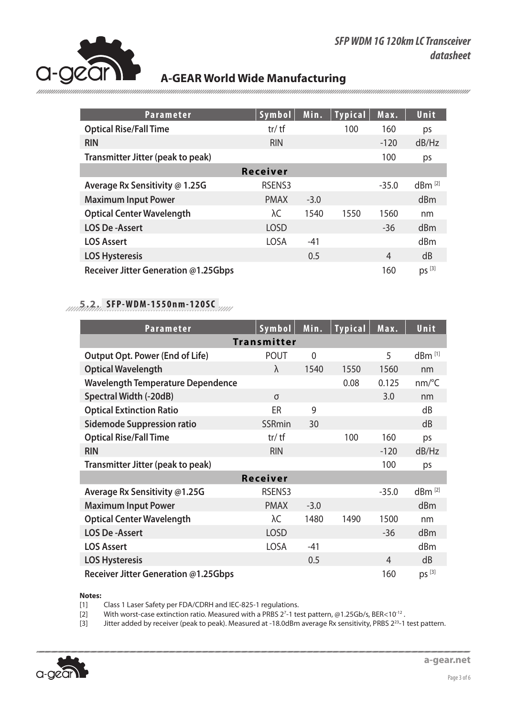

| <b>Parameter</b>                     | <b>Symbol</b>   | Min.   | <b>Typical</b> | Max.    | Unit                 |
|--------------------------------------|-----------------|--------|----------------|---------|----------------------|
| <b>Optical Rise/Fall Time</b>        | $tr/$ tf        |        | 100            | 160     | ps                   |
| <b>RIN</b>                           | <b>RIN</b>      |        |                | $-120$  | dB/Hz                |
| Transmitter Jitter (peak to peak)    |                 |        |                | 100     | ps                   |
|                                      | <b>Receiver</b> |        |                |         |                      |
| Average Rx Sensitivity @ 1.25G       | RSENS3          |        |                | $-35.0$ | $dBm$ <sup>[2]</sup> |
| <b>Maximum Input Power</b>           | <b>PMAX</b>     | $-3.0$ |                |         | dBm                  |
| <b>Optical Center Wavelength</b>     | λC              | 1540   | 1550           | 1560    | nm                   |
| <b>LOS De-Assert</b>                 | <b>LOSD</b>     |        |                | $-36$   | dBm                  |
| <b>LOS Assert</b>                    | <b>LOSA</b>     | $-41$  |                |         | dBm                  |
| <b>LOS Hysteresis</b>                |                 | 0.5    |                | 4       | dB                   |
| Receiver Jitter Generation @1.25Gbps |                 |        |                | 160     | $ps^{[3]}$           |

### **5.2. SFP-WDM-1550nm-120SC**

| <b>Parameter</b>                         | Symbol             | Min.           | <b>Typical</b> | Max.    | Unit                  |
|------------------------------------------|--------------------|----------------|----------------|---------|-----------------------|
|                                          | <b>Transmitter</b> |                |                |         |                       |
| <b>Output Opt. Power (End of Life)</b>   | <b>POUT</b>        | $\overline{0}$ |                | 5       | $dBm$ <sup>[1]</sup>  |
| <b>Optical Wavelength</b>                | λ                  | 1540           | 1550           | 1560    | nm                    |
| <b>Wavelength Temperature Dependence</b> |                    |                | 0.08           | 0.125   | $nm$ <sup>o</sup> $C$ |
| <b>Spectral Width (-20dB)</b>            | σ                  |                |                | 3.0     | nm                    |
| <b>Optical Extinction Ratio</b>          | ER                 | 9              |                |         | dB                    |
| <b>Sidemode Suppression ratio</b>        | SSRmin             | 30             |                |         | dB                    |
| <b>Optical Rise/Fall Time</b>            | $tr/$ tf           |                | 100            | 160     | ps                    |
| <b>RIN</b>                               | <b>RIN</b>         |                |                | $-120$  | dB/Hz                 |
| Transmitter Jitter (peak to peak)        |                    |                |                | 100     | ps                    |
|                                          | Receiver           |                |                |         |                       |
| Average Rx Sensitivity @1.25G            | RSENS3             |                |                | $-35.0$ | dBm <sup>[2]</sup>    |
| <b>Maximum Input Power</b>               | <b>PMAX</b>        | $-3.0$         |                |         | dBm                   |
| <b>Optical Center Wavelength</b>         | λC                 | 1480           | 1490           | 1500    | nm                    |
| <b>LOS De-Assert</b>                     | <b>LOSD</b>        |                |                | $-36$   | dBm                   |
| <b>LOS Assert</b>                        | <b>LOSA</b>        | $-41$          |                |         | dBm                   |
| <b>LOS Hysteresis</b>                    |                    | 0.5            |                | 4       | dB                    |
| Receiver Jitter Generation @1.25Gbps     |                    |                |                | 160     | $ps^{[3]}$            |

#### **Notes:**

[1] Class 1 Laser Safety per FDA/CDRH and IEC-825-1 regulations.<br>[2] With worst-case extinction ratio. Measured with a PRBS 2<sup>7</sup>-1 te

[2] With worst-case extinction ratio. Measured with a PRBS 2<sup>7</sup>-1 test pattern, @1.25Gb/s, BER<10<sup>-12</sup>.

[3] Jitter added by receiver (peak to peak). Measured at -18.0dBm average Rx sensitivity, PRBS 2<sup>23</sup>-1 test pattern.

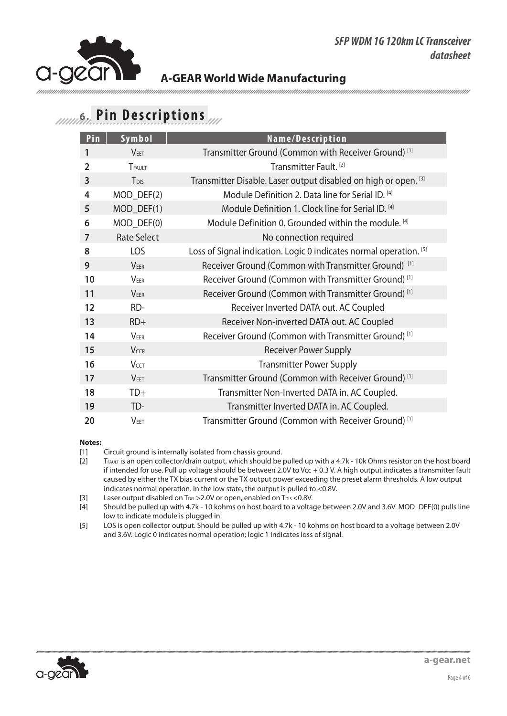## **6. Pin Descriptions**

| Pin            | Symbol             | Name/Description                                                   |
|----------------|--------------------|--------------------------------------------------------------------|
| 1              | <b>VFFT</b>        | Transmitter Ground (Common with Receiver Ground) <sup>[1]</sup>    |
| $\overline{2}$ | TFAULT             | Transmitter Fault. <sup>[2]</sup>                                  |
| $\overline{3}$ | T <sub>DIS</sub>   | Transmitter Disable. Laser output disabled on high or open. [3]    |
| 4              | MOD_DEF(2)         | Module Definition 2. Data line for Serial ID. [4]                  |
| 5              | $MOD_DEF(1)$       | Module Definition 1. Clock line for Serial ID. [4]                 |
| 6              | MOD_DEF(0)         | Module Definition 0. Grounded within the module. [4]               |
| 7              | <b>Rate Select</b> | No connection required                                             |
| 8              | LOS                | Loss of Signal indication. Logic 0 indicates normal operation. [5] |
| 9              | <b>VEER</b>        | Receiver Ground (Common with Transmitter Ground) <sup>[1]</sup>    |
| 10             | <b>VEER</b>        | Receiver Ground (Common with Transmitter Ground) <sup>[1]</sup>    |
| 11             | <b>VEER</b>        | Receiver Ground (Common with Transmitter Ground) <sup>[1]</sup>    |
| 12             | RD-                | Receiver Inverted DATA out. AC Coupled                             |
| 13             | $RD+$              | Receiver Non-inverted DATA out. AC Coupled                         |
| 14             | VEER               | Receiver Ground (Common with Transmitter Ground) <sup>[1]</sup>    |
| 15             | VCCR               | <b>Receiver Power Supply</b>                                       |
| 16             | <b>VCCT</b>        | <b>Transmitter Power Supply</b>                                    |
| 17             | <b>VEET</b>        | Transmitter Ground (Common with Receiver Ground) <sup>[1]</sup>    |
| 18             | TD+                | Transmitter Non-Inverted DATA in. AC Coupled.                      |
| 19             | TD-                | Transmitter Inverted DATA in. AC Coupled.                          |
| 20             | <b>VEET</b>        | Transmitter Ground (Common with Receiver Ground) <sup>[1]</sup>    |

#### **Notes:**

[1] Circuit ground is internally isolated from chassis ground.<br>[2]  $T_{FAULT}$  is an open collector/drain output, which should be

TFAULT IS an open collector/drain output, which should be pulled up with a 4.7k - 10k Ohms resistor on the host board if intended for use. Pull up voltage should be between 2.0V to Vcc + 0.3 V. A high output indicates a transmitter fault caused by either the TX bias current or the TX output power exceeding the preset alarm thresholds. A low output indicates normal operation. In the low state, the output is pulled to <0.8V.

[3] Laser output disabled on T<sub>DIS</sub> > 2.0V or open, enabled on T<sub>DIS</sub> < 0.8V.<br>[4] Should be pulled up with 4.7k - 10 kohms on host board to a volta

Should be pulled up with 4.7k - 10 kohms on host board to a voltage between 2.0V and 3.6V. MOD\_DEF(0) pulls line low to indicate module is plugged in.

[5] LOS is open collector output. Should be pulled up with 4.7k - 10 kohms on host board to a voltage between 2.0V and 3.6V. Logic 0 indicates normal operation; logic 1 indicates loss of signal.

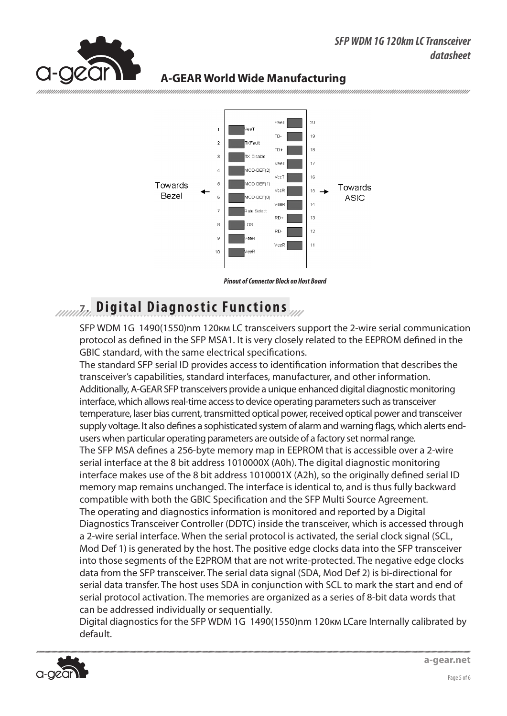#### *SFP WDM 1G 120km LC Transceiver datasheet*



#### **A-GEAR World Wide Manufacturing**



### *Attaire* Digital Diagnostic Functions

SFP WDM 1G 1490(1550)nm 120км LC transceivers support the 2-wire serial communication protocol as defined in the SFP MSA1. It is very closely related to the EEPROM defined in the GBIC standard, with the same electrical specifications.

The standard SFP serial ID provides access to identification information that describes the transceiver's capabilities, standard interfaces, manufacturer, and other information. Additionally, A-GEAR SFP transceivers provide a unique enhanced digital diagnostic monitoring interface, which allows real-time access to device operating parameters such as transceiver temperature, laser bias current, transmitted optical power, received optical power and transceiver supply voltage. It also defines a sophisticated system of alarm and warning flags, which alerts endusers when particular operating parameters are outside of a factory set normal range. The SFP MSA defines a 256-byte memory map in EEPROM that is accessible over a 2-wire serial interface at the 8 bit address 1010000X (A0h). The digital diagnostic monitoring interface makes use of the 8 bit address 1010001X (A2h), so the originally defined serial ID memory map remains unchanged. The interface is identical to, and is thus fully backward compatible with both the GBIC Specification and the SFP Multi Source Agreement. The operating and diagnostics information is monitored and reported by a Digital Diagnostics Transceiver Controller (DDTC) inside the transceiver, which is accessed through a 2-wire serial interface. When the serial protocol is activated, the serial clock signal (SCL, Mod Def 1) is generated by the host. The positive edge clocks data into the SFP transceiver into those segments of the E2PROM that are not write-protected. The negative edge clocks data from the SFP transceiver. The serial data signal (SDA, Mod Def 2) is bi-directional for serial data transfer. The host uses SDA in conjunction with SCL to mark the start and end of serial protocol activation. The memories are organized as a series of 8-bit data words that can be addressed individually or sequentially.

Digital diagnostics for the SFP WDM 1G 1490(1550)nm 120км LCare Internally calibrated by default.